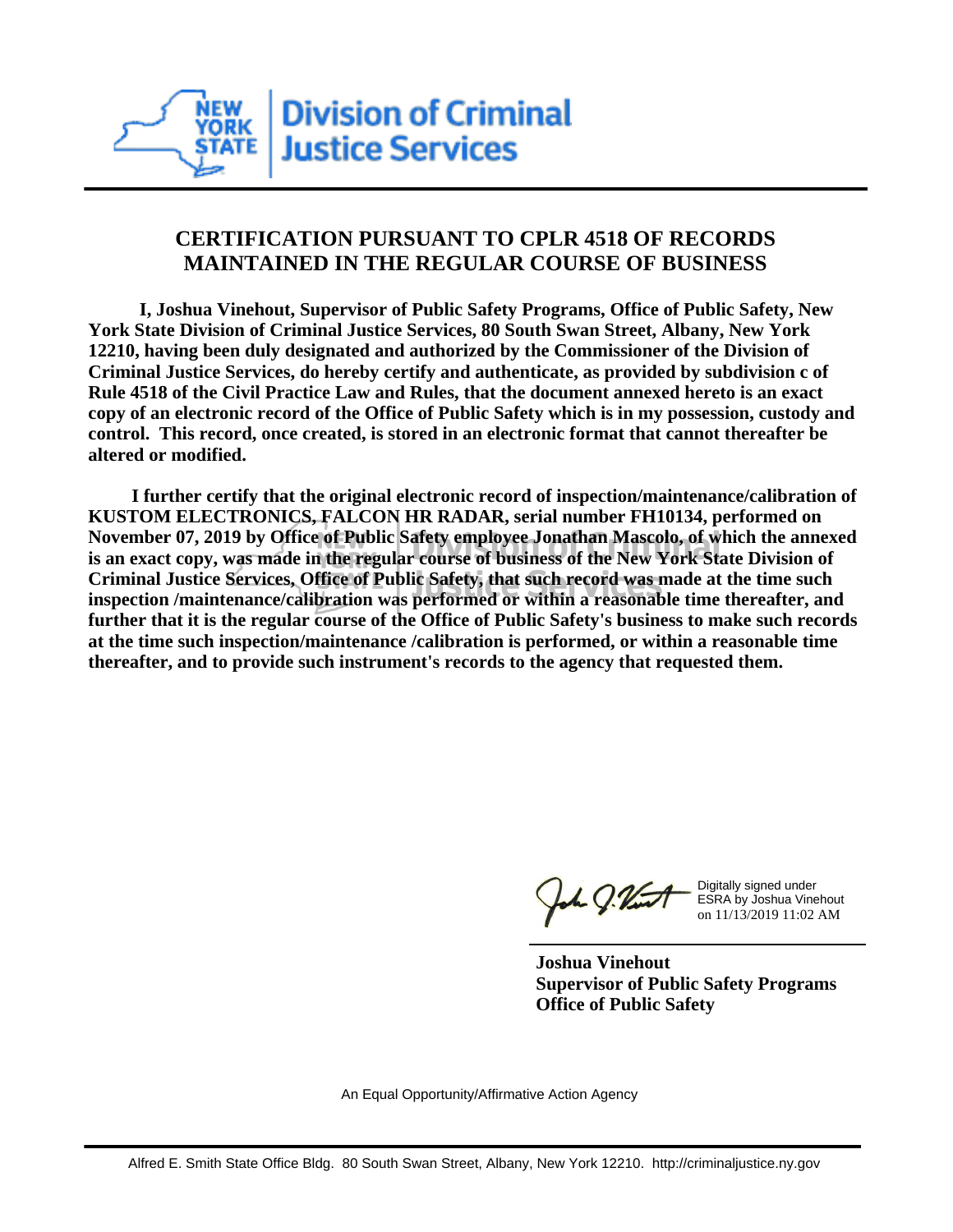

## **CERTIFICATION PURSUANT TO CPLR 4518 OF RECORDS MAINTAINED IN THE REGULAR COURSE OF BUSINESS**

 **I, Joshua Vinehout, Supervisor of Public Safety Programs, Office of Public Safety, New York State Division of Criminal Justice Services, 80 South Swan Street, Albany, New York 12210, having been duly designated and authorized by the Commissioner of the Division of Criminal Justice Services, do hereby certify and authenticate, as provided by subdivision c of Rule 4518 of the Civil Practice Law and Rules, that the document annexed hereto is an exact copy of an electronic record of the Office of Public Safety which is in my possession, custody and control. This record, once created, is stored in an electronic format that cannot thereafter be altered or modified.**

 **I further certify that the original electronic record of inspection/maintenance/calibration of KUSTOM ELECTRONICS, FALCON HR RADAR, serial number FH10134, performed on November 07, 2019 by Office of Public Safety employee Jonathan Mascolo, of which the annexed is an exact copy, was made in the regular course of business of the New York State Division of Criminal Justice Services, Office of Public Safety, that such record was made at the time such inspection /maintenance/calibration was performed or within a reasonable time thereafter, and further that it is the regular course of the Office of Public Safety's business to make such records at the time such inspection/maintenance /calibration is performed, or within a reasonable time thereafter, and to provide such instrument's records to the agency that requested them.**

the g. Vint

Digitally signed under ESRA by Joshua Vinehout on 11/13/2019 11:02 AM

**Joshua Vinehout Supervisor of Public Safety Programs Office of Public Safety**

An Equal Opportunity/Affirmative Action Agency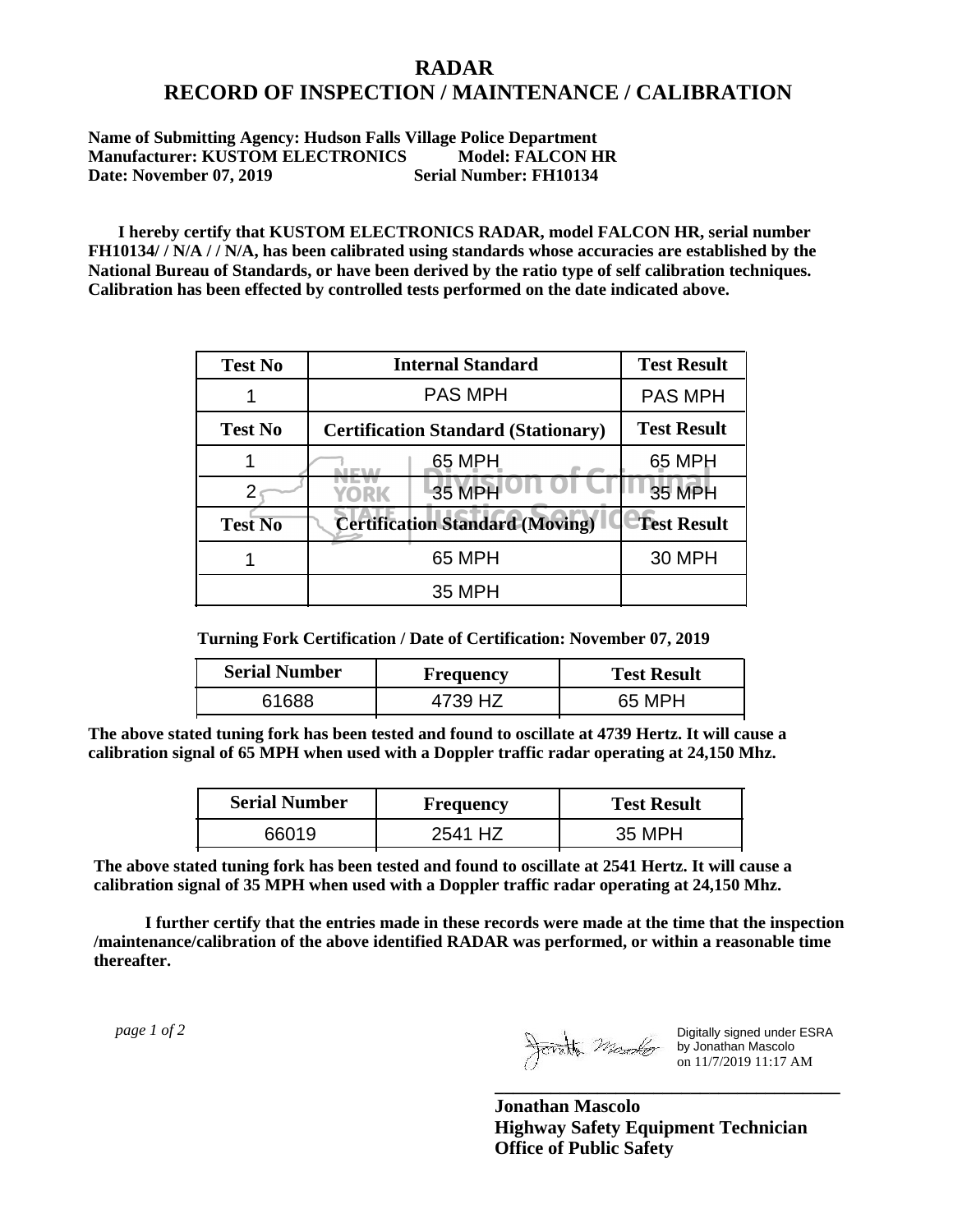## **RADAR RECORD OF INSPECTION / MAINTENANCE / CALIBRATION**

**Name of Submitting Agency: Hudson Falls Village Police Department Manufacturer: KUSTOM ELECTRONICS** Model: FALCON HR<br>Date: November 07. 2019 Serial Number: FH10134 **Date: November 07, 2019** 

 **I hereby certify that KUSTOM ELECTRONICS RADAR, model FALCON HR, serial number FH10134/ / N/A / / N/A, has been calibrated using standards whose accuracies are established by the National Bureau of Standards, or have been derived by the ratio type of self calibration techniques. Calibration has been effected by controlled tests performed on the date indicated above.**

| <b>Test No</b> | <b>Internal Standard</b>                   | <b>Test Result</b> |
|----------------|--------------------------------------------|--------------------|
|                | <b>PAS MPH</b>                             | <b>PAS MPH</b>     |
| <b>Test No</b> | <b>Certification Standard (Stationary)</b> | <b>Test Result</b> |
|                | 65 MPH                                     | 65 MPH             |
|                | 35 MPH<br>YORK                             | <b>35 MPH</b>      |
| <b>Test No</b> | <b>Certification Standard (Moving)</b>     | <b>Test Result</b> |
|                | 65 MPH                                     | <b>30 MPH</b>      |
|                | 35 MPH                                     |                    |

**Turning Fork Certification / Date of Certification: November 07, 2019**

| <b>Serial Number</b> | <b>Frequency</b> | <b>Test Result</b> |
|----------------------|------------------|--------------------|
|                      |                  | 65 MPH             |

**The above stated tuning fork has been tested and found to oscillate at 4739 Hertz. It will cause a calibration signal of 65 MPH when used with a Doppler traffic radar operating at 24,150 Mhz.**

| <b>Serial Number</b> | Frequency | <b>Test Result</b> |
|----------------------|-----------|--------------------|
| 66019                | 2541 HZ   | 35 MPH             |

**The above stated tuning fork has been tested and found to oscillate at 2541 Hertz. It will cause a calibration signal of 35 MPH when used with a Doppler traffic radar operating at 24,150 Mhz.**

 **I further certify that the entries made in these records were made at the time that the inspection /maintenance/calibration of the above identified RADAR was performed, or within a reasonable time thereafter.**

 *page 1 of 2* 

Digitally signed under ESRA by Jonathan Mascolo on 11/7/2019 11:17 AM

**Jonathan Mascolo Highway Safety Equipment Technician Office of Public Safety**

**\_\_\_\_\_\_\_\_\_\_\_\_\_\_\_\_\_\_\_\_\_\_\_\_\_\_\_\_\_\_\_\_\_\_\_\_\_**